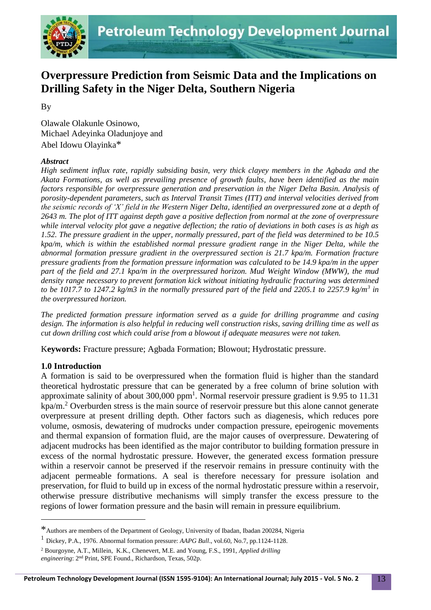

# **Overpressure Prediction from Seismic Data and the Implications on Drilling Safety in the Niger Delta, Southern Nigeria**

By

Olawale Olakunle Osinowo, Michael Adeyinka Oladunjoye and Abel Idowu Olayinka\*

## *Abstract*

*High sediment influx rate, rapidly subsiding basin, very thick clayey members in the Agbada and the Akata Formations, as well as prevailing presence of growth faults, have been identified as the main factors responsible for overpressure generation and preservation in the Niger Delta Basin. Analysis of porosity-dependent parameters, such as Interval Transit Times (ITT) and interval velocities derived from the seismic records of 'X' field in the Western Niger Delta, identified an overpressured zone at a depth of 2643 m. The plot of ITT against depth gave a positive deflection from normal at the zone of overpressure while interval velocity plot gave a negative deflection; the ratio of deviations in both cases is as high as 1.52. The pressure gradient in the upper, normally pressured, part of the field was determined to be 10.5 kpa/m, which is within the established normal pressure gradient range in the Niger Delta, while the abnormal formation pressure gradient in the overpressured section is 21.7 kpa/m. Formation fracture pressure gradients from the formation pressure information was calculated to be 14.9 kpa/m in the upper part of the field and 27.1 kpa/m in the overpressured horizon. Mud Weight Window (MWW), the mud density range necessary to prevent formation kick without initiating hydraulic fracturing was determined to be 1017.7 to 1247.2 kg/m3 in the normally pressured part of the field and 2205.1 to 2257.9 kg/m<sup>3</sup> in the overpressured horizon.* 

*The predicted formation pressure information served as a guide for drilling programme and casing design. The information is also helpful in reducing well construction risks, saving drilling time as well as cut down drilling cost which could arise from a blowout if adequate measures were not taken.*

K**eywords:** Fracture pressure; Agbada Formation; Blowout; Hydrostatic pressure.

# **1.0 Introduction**

1

A formation is said to be overpressured when the formation fluid is higher than the standard theoretical hydrostatic pressure that can be generated by a free column of brine solution with approximate salinity of about  $300,000$  ppm<sup>1</sup>. Normal reservoir pressure gradient is 9.95 to 11.31 kpa/m.<sup>2</sup> Overburden stress is the main source of reservoir pressure but this alone cannot generate overpressure at present drilling depth. Other factors such as diagenesis, which reduces pore volume, osmosis, dewatering of mudrocks under compaction pressure, epeirogenic movements and thermal expansion of formation fluid, are the major causes of overpressure. Dewatering of adjacent mudrocks has been identified as the major contributor to building formation pressure in excess of the normal hydrostatic pressure. However, the generated excess formation pressure within a reservoir cannot be preserved if the reservoir remains in pressure continuity with the adjacent permeable formations. A seal is therefore necessary for pressure isolation and preservation, for fluid to build up in excess of the normal hydrostatic pressure within a reservoir, otherwise pressure distributive mechanisms will simply transfer the excess pressure to the regions of lower formation pressure and the basin will remain in pressure equilibrium.

<sup>\*</sup>Authors are members of the Department of Geology, University of Ibadan, Ibadan 200284, Nigeria

<sup>1</sup> Dickey, P.A., 1976. Abnormal formation pressure: *AAPG Bull*., vol.60, No.7, pp.1124-1128.

<sup>2</sup> Bourgoyne, A.T., Millein, K.K., Chenevert, M.E. and Young, F.S., 1991, *Applied drilling engineering*: 2nd Print, SPE Found., Richardson, Texas, 502p.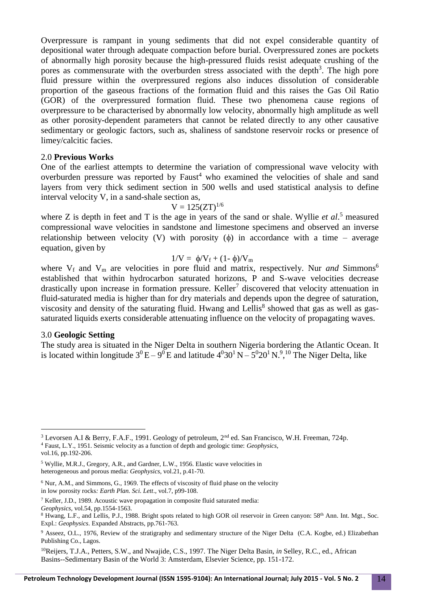Overpressure is rampant in young sediments that did not expel considerable quantity of depositional water through adequate compaction before burial. Overpressured zones are pockets of abnormally high porosity because the high-pressured fluids resist adequate crushing of the pores as commensurate with the overburden stress associated with the depth<sup>3</sup>. The high pore fluid pressure within the overpressured regions also induces dissolution of considerable proportion of the gaseous fractions of the formation fluid and this raises the Gas Oil Ratio (GOR) of the overpressured formation fluid. These two phenomena cause regions of overpressure to be characterised by abnormally low velocity, abnormally high amplitude as well as other porosity-dependent parameters that cannot be related directly to any other causative sedimentary or geologic factors, such as, shaliness of sandstone reservoir rocks or presence of limey/calcitic facies.

#### 2.0 **Previous Works**

One of the earliest attempts to determine the variation of compressional wave velocity with overburden pressure was reported by  $Faust<sup>4</sup>$  who examined the velocities of shale and sand layers from very thick sediment section in 500 wells and used statistical analysis to define interval velocity V, in a sand-shale section as,

$$
V=125 (ZT)^{1/6}
$$

where Z is depth in feet and T is the age in years of the sand or shale. Wyllie *et al*. <sup>5</sup> measured compressional wave velocities in sandstone and limestone specimens and observed an inverse relationship between velocity (V) with porosity  $(\phi)$  in accordance with a time – average equation, given by

$$
1/V = \phi/V_f + (1-\phi)/V_m
$$

where  $V_f$  and  $V_m$  are velocities in pore fluid and matrix, respectively. Nur *and* Simmons<sup>6</sup> established that within hydrocarbon saturated horizons, P and S-wave velocities decrease drastically upon increase in formation pressure. Keller<sup>7</sup> discovered that velocity attenuation in fluid-saturated media is higher than for dry materials and depends upon the degree of saturation, viscosity and density of the saturating fluid. Hwang and Lellis<sup>8</sup> showed that gas as well as gassaturated liquids exerts considerable attenuating influence on the velocity of propagating waves.

#### 3.0 **Geologic Setting**

1

The study area is situated in the Niger Delta in southern Nigeria bordering the Atlantic Ocean. It is located within longitude  $3^0$  E –  $9^0$  E and latitude  $4^030^1$  N –  $5^020^1$  N.<sup>9</sup>,<sup>10</sup> The Niger Delta, like

<sup>&</sup>lt;sup>3</sup> Levorsen A.I & Berry, F.A.F., 1991. Geology of petroleum, 2<sup>nd</sup> ed. San Francisco, W.H. Freeman, 724p. <sup>4</sup> Faust, L.Y., 1951. Seismic velocity as a function of depth and geologic time: *Geophysics*, vol.16, pp.192-206.

<sup>5</sup> Wyllie, M.R.J., Gregory, A.R., and Gardner, L.W., 1956. Elastic wave velocities in heterogeneous and porous media: *Geophysics*, vol.21, p.41-70.

<sup>6</sup> Nur, A.M., and Simmons, G., 1969. The effects of viscosity of fluid phase on the velocity in low porosity rocks*: Earth Plan. Sci. Lett*., vol.7, p99-108.

<sup>7</sup> Keller, J.D., 1989. Acoustic wave propagation in composite fluid saturated media:

*Geophysics*, vol.54, pp.1554-1563.

<sup>&</sup>lt;sup>8</sup> Hwang, L.F., and Lellis, P.J., 1988. Bright spots related to high GOR oil reservoir in Green canyon: 58<sup>th</sup> Ann. Int. Mgt., Soc. Expl.: *Geophysics*. Expanded Abstracts, pp.761-763.

<sup>&</sup>lt;sup>9</sup> Asseez, O.L., 1976, Review of the stratigraphy and sedimentary structure of the Niger Delta (C.A. Kogbe, ed.) Elizabethan Publishing Co., Lagos.

<sup>10</sup>Reijers, T.J.A., Petters, S.W., and Nwajide, C.S., 1997. The Niger Delta Basin, *in* Selley, R.C., ed., African Basins--Sedimentary Basin of the World 3: Amsterdam, Elsevier Science, pp. 151-172.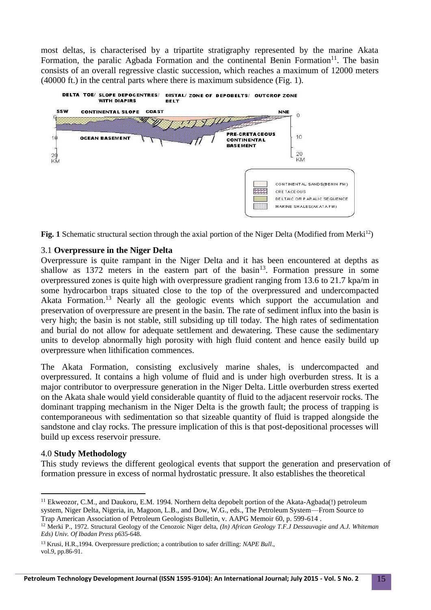most deltas, is characterised by a tripartite stratigraphy represented by the marine Akata Formation, the paralic Agbada Formation and the continental Benin Formation $11$ . The basin consists of an overall regressive clastic succession, which reaches a maximum of 12000 meters (40000 ft.) in the central parts where there is maximum subsidence (Fig. 1).



**Fig. 1** Schematic structural section through the axial portion of the Niger Delta (Modified from Merki<sup>12</sup>)

## 3.1 **Overpressure in the Niger Delta**

Overpressure is quite rampant in the Niger Delta and it has been encountered at depths as shallow as  $1372$  meters in the eastern part of the basin<sup>13</sup>. Formation pressure in some overpressured zones is quite high with overpressure gradient ranging from 13.6 to 21.7 kpa/m in some hydrocarbon traps situated close to the top of the overpressured and undercompacted Akata Formation.<sup>13</sup> Nearly all the geologic events which support the accumulation and preservation of overpressure are present in the basin. The rate of sediment influx into the basin is very high; the basin is not stable, still subsiding up till today. The high rates of sedimentation and burial do not allow for adequate settlement and dewatering. These cause the sedimentary units to develop abnormally high porosity with high fluid content and hence easily build up overpressure when lithification commences.

The Akata Formation, consisting exclusively marine shales, is undercompacted and overpressured. It contains a high volume of fluid and is under high overburden stress. It is a major contributor to overpressure generation in the Niger Delta. Little overburden stress exerted on the Akata shale would yield considerable quantity of fluid to the adjacent reservoir rocks. The dominant trapping mechanism in the Niger Delta is the growth fault; the process of trapping is contemporaneous with sedimentation so that sizeable quantity of fluid is trapped alongside the sandstone and clay rocks. The pressure implication of this is that post-depositional processes will build up excess reservoir pressure.

## 4.0 **Study Methodology**

1

This study reviews the different geological events that support the generation and preservation of formation pressure in excess of normal hydrostatic pressure. It also establishes the theoretical

<sup>&</sup>lt;sup>11</sup> Ekweozor, C.M., and Daukoru, E.M. 1994. Northern delta depobelt portion of the Akata-Agbada(!) petroleum system, Niger Delta, Nigeria, in, Magoon, L.B., and Dow, W.G., eds., The Petroleum System—From Source to Trap American Association of Petroleum Geologists Bulletin, v. AAPG Memoir 60, p. 599-614 .

<sup>&</sup>lt;sup>12</sup> Merki P., 1972. Structural Geology of the Cenozoic Niger delta, *(In) African Geology T.F.J Dessauvagie and A.J. Whiteman Eds) Univ. Of Ibadan Press* p635-648.

<sup>13</sup> Krusi, H.R.,1994. Overpressure prediction; a contribution to safer drilling: *NAPE Bull*., vol.9, pp.86-91.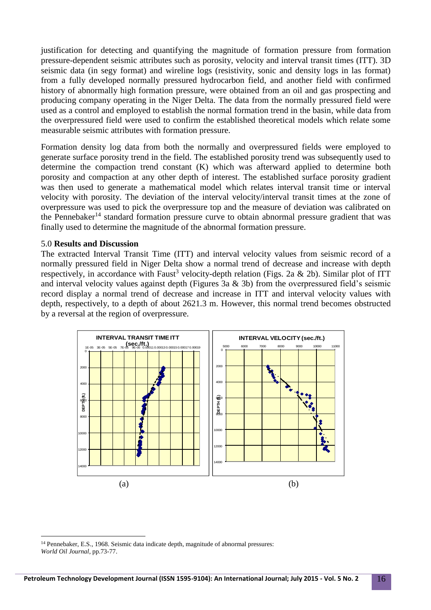justification for detecting and quantifying the magnitude of formation pressure from formation pressure-dependent seismic attributes such as porosity, velocity and interval transit times (ITT). 3D seismic data (in segy format) and wireline logs (resistivity, sonic and density logs in las format) from a fully developed normally pressured hydrocarbon field, and another field with confirmed history of abnormally high formation pressure, were obtained from an oil and gas prospecting and producing company operating in the Niger Delta. The data from the normally pressured field were used as a control and employed to establish the normal formation trend in the basin, while data from the overpressured field were used to confirm the established theoretical models which relate some measurable seismic attributes with formation pressure.

Formation density log data from both the normally and overpressured fields were employed to generate surface porosity trend in the field. The established porosity trend was subsequently used to determine the compaction trend constant (K) which was afterward applied to determine both porosity and compaction at any other depth of interest. The established surface porosity gradient was then used to generate a mathematical model which relates interval transit time or interval velocity with porosity. The deviation of the interval velocity/interval transit times at the zone of overpressure was used to pick the overpressure top and the measure of deviation was calibrated on the Pennebaker<sup>14</sup> standard formation pressure curve to obtain abnormal pressure gradient that was finally used to determine the magnitude of the abnormal formation pressure.

#### 5.0 **Results and Discussion**

<u>.</u>

The extracted Interval Transit Time (ITT) and interval velocity values from seismic record of a normally pressured field in Niger Delta show a normal trend of decrease and increase with depth respectively, in accordance with Faust<sup>3</sup> velocity-depth relation (Figs. 2a & 2b). Similar plot of ITT and interval velocity values against depth (Figures 3a & 3b) from the overpressured field's seismic record display a normal trend of decrease and increase in ITT and interval velocity values with depth, respectively, to a depth of about 2621.3 m. However, this normal trend becomes obstructed by a reversal at the region of overpressure.



<sup>14</sup> Pennebaker, E.S., 1968. Seismic data indicate depth, magnitude of abnormal pressures: *World Oil Journal*, pp.73-77.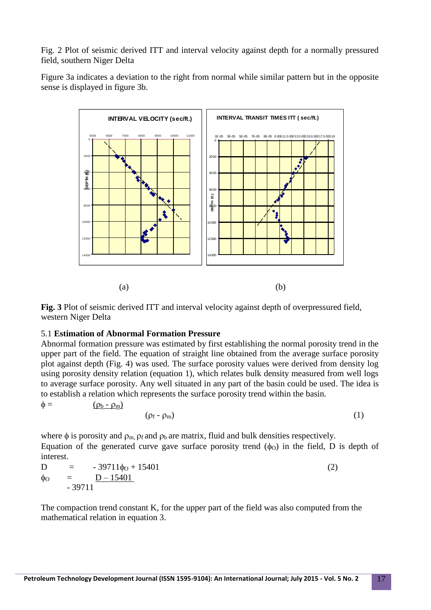Fig. 2 Plot of seismic derived ITT and interval velocity against depth for a normally pressured field, southern Niger Delta

Figure 3a indicates a deviation to the right from normal while similar pattern but in the opposite sense is displayed in figure 3b.



**Fig. 3** Plot of seismic derived ITT and interval velocity against depth of overpressured field, western Niger Delta

## 5.1 **Estimation of Abnormal Formation Pressure**

Abnormal formation pressure was estimated by first establishing the normal porosity trend in the upper part of the field. The equation of straight line obtained from the average surface porosity plot against depth (Fig. 4) was used. The surface porosity values were derived from density log using porosity density relation (equation 1), which relates bulk density measured from well logs to average surface porosity. Any well situated in any part of the basin could be used. The idea is to establish a relation which represents the surface porosity trend within the basin.

 $\phi = (\rho_b - \rho_m)$ 

$$
(\rho_f - \rho_m) \tag{1}
$$

where  $\phi$  is porosity and  $\rho_m$ ,  $\rho_f$  and  $\rho_b$  are matrix, fluid and bulk densities respectively. Equation of the generated curve gave surface porosity trend  $(\phi_0)$  in the field, D is depth of interest.

$$
D = -39711\phi_0 + 15401
$$
  
\n
$$
\phi_0 = D - 15401
$$
  
\n
$$
-39711
$$
\n(2)

The compaction trend constant K, for the upper part of the field was also computed from the mathematical relation in equation 3.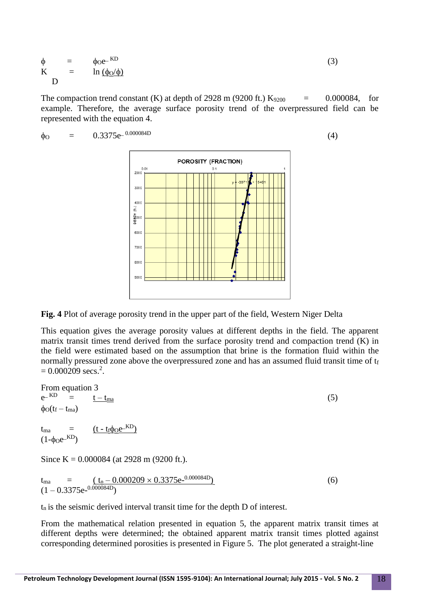$$
\phi = \phi_0 e^{-KD} \nK = \ln (\phi_0/\phi) \nD
$$
\n(3)

The compaction trend constant (K) at depth of 2928 m (9200 ft.)  $K_{9200}$  = 0.000084, for example. Therefore, the average surface porosity trend of the overpressured field can be represented with the equation 4.

 $\phi_{\rm O}$  = 0.3375e<sup>-0.000084D</sup> (4)

**Fig. 4** Plot of average porosity trend in the upper part of the field, Western Niger Delta

This equation gives the average porosity values at different depths in the field. The apparent matrix transit times trend derived from the surface porosity trend and compaction trend (K) in the field were estimated based on the assumption that brine is the formation fluid within the normally pressured zone above the overpressured zone and has an assumed fluid transit time of t<sub>f</sub>  $= 0.000209 \text{ secs.}^2$ .

From equation 3  $A - \text{KD}$  $\mathcal{L}^{\text{KD}} = \frac{t - t_{\text{ma}}}{}$  (5)  $\phi_O(t_f - t_{ma})$  $t_{\text{ma}} = (t - t_{\text{f}} \phi_{\text{O}} e^{-\text{KD}})$  $(1-\phi_0e^{-KD})$ 

Since K =  $0.000084$  (at 2928 m (9200 ft.).

$$
t_{\text{ma}} = \frac{(t_n - 0.000209 \times 0.3375e^{-0.000084D})}{(1 - 0.3375e^{-0.000084D})}
$$
(6)

 $t_n$  is the seismic derived interval transit time for the depth D of interest.

From the mathematical relation presented in equation 5, the apparent matrix transit times at different depths were determined; the obtained apparent matrix transit times plotted against corresponding determined porosities is presented in Figure 5. The plot generated a straight-line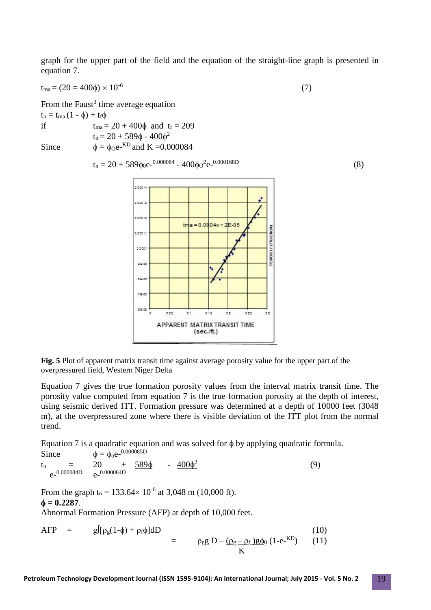graph for the upper part of the field and the equation of the straight-line graph is presented in equation 7.

$$
t_{\text{ma}} = (20 = 400\phi) \times 10^{-6} \tag{7}
$$

From the Faust<sup>3</sup> time average equation

 $t_n = t_{ma} (1 - \phi) + t_f \phi$ if  $t_{ma} = 20 + 400\phi$  and  $t_f = 209$  $t_n = 20 + 589\phi - 400\phi^2$ Since  $\phi = \phi_0 e^{-KD}$  and K = 0.000084

$$
t_n = 20 + 589\phi_0 e^{-0.000084} - 400\phi_0^2 e^{-0.000168D}
$$
 (8)



**Fig. 5** Plot of apparent matrix transit time against average porosity value for the upper part of the overpressured field, Western Niger Delta

Equation 7 gives the true formation porosity values from the interval matrix transit time. The porosity value computed from equation 7 is the true formation porosity at the depth of interest, using seismic derived ITT. Formation pressure was determined at a depth of 10000 feet (3048 m), at the overpressured zone where there is visible deviation of the ITT plot from the normal trend.

Equation 7 is a quadratic equation and was solved for  $\phi$  by applying quadratic formula.

Since  $\phi = \phi_0 e^{-0.000085D}$  $t_n$  = 20 +  $\frac{589\phi}{ }$  -  $\frac{400\phi^2}{ }$  (9) e-0.000084D e-0.000084D

From the graph  $t_n = 133.64 \times 10^{-6}$  at 3,048 m (10,000 ft).  $\phi = 0.2287$ . Abnormal Formation Pressure (AFP) at depth of 10,000 feet.

$$
AFP = g[(\rho_g(1-\phi) + \rho_f\phi]dD = \rho_gg D - (\rho_g - \rho_f)g\phi_0(1-e^{-KD}) \qquad (10)
$$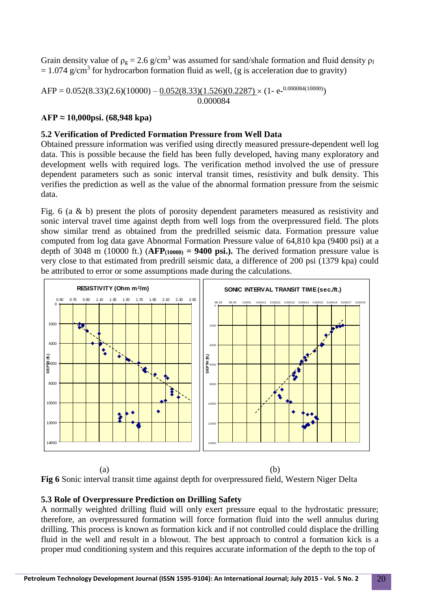Grain density value of  $\rho_g = 2.6$  g/cm<sup>3</sup> was assumed for sand/shale formation and fluid density  $\rho_f$  $= 1.074$  g/cm<sup>3</sup> for hydrocarbon formation fluid as well, (g is acceleration due to gravity)

 $\text{AFP} = 0.052(8.33)(2.6)(10000) - 0.052(8.33)(1.526)(0.2287) \times (1 - \text{e}^{0.000084(10000)})$ 0.000084

# **AFP ≈ 10,000psi. (68,948 kpa)**

## **5.2 Verification of Predicted Formation Pressure from Well Data**

Obtained pressure information was verified using directly measured pressure-dependent well log data. This is possible because the field has been fully developed, having many exploratory and development wells with required logs. The verification method involved the use of pressure dependent parameters such as sonic interval transit times, resistivity and bulk density. This verifies the prediction as well as the value of the abnormal formation pressure from the seismic data.

Fig. 6 (a & b) present the plots of porosity dependent parameters measured as resistivity and sonic interval travel time against depth from well logs from the overpressured field. The plots show similar trend as obtained from the predrilled seismic data. Formation pressure value computed from log data gave Abnormal Formation Pressure value of 64,810 kpa (9400 psi) at a depth of 3048 m (10000 ft.)  $(AFP_{(10000)} = 9400 \text{ psi.})$ . The derived formation pressure value is very close to that estimated from predrill seismic data, a difference of 200 psi (1379 kpa) could be attributed to error or some assumptions made during the calculations.



 $(a)$  (b) **Fig 6** Sonic interval transit time against depth for overpressured field, Western Niger Delta

## **5.3 Role of Overpressure Prediction on Drilling Safety**

A normally weighted drilling fluid will only exert pressure equal to the hydrostatic pressure; therefore, an overpressured formation will force formation fluid into the well annulus during drilling. This process is known as formation kick and if not controlled could displace the drilling fluid in the well and result in a blowout. The best approach to control a formation kick is a proper mud conditioning system and this requires accurate information of the depth to the top of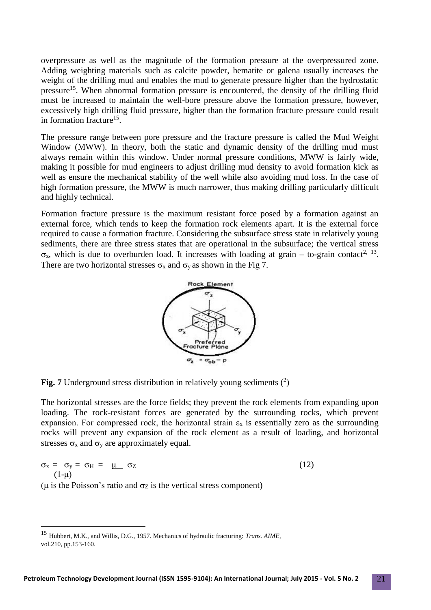overpressure as well as the magnitude of the formation pressure at the overpressured zone. Adding weighting materials such as calcite powder, hematite or galena usually increases the weight of the drilling mud and enables the mud to generate pressure higher than the hydrostatic pressure<sup>15</sup>. When abnormal formation pressure is encountered, the density of the drilling fluid must be increased to maintain the well-bore pressure above the formation pressure, however, excessively high drilling fluid pressure, higher than the formation fracture pressure could result in formation fracture<sup>15</sup>.

The pressure range between pore pressure and the fracture pressure is called the Mud Weight Window (MWW). In theory, both the static and dynamic density of the drilling mud must always remain within this window. Under normal pressure conditions, MWW is fairly wide, making it possible for mud engineers to adjust drilling mud density to avoid formation kick as well as ensure the mechanical stability of the well while also avoiding mud loss. In the case of high formation pressure, the MWW is much narrower, thus making drilling particularly difficult and highly technical.

Formation fracture pressure is the maximum resistant force posed by a formation against an external force, which tends to keep the formation rock elements apart. It is the external force required to cause a formation fracture. Considering the subsurface stress state in relatively young sediments, there are three stress states that are operational in the subsurface; the vertical stress  $\sigma_z$ , which is due to overburden load. It increases with loading at grain – to-grain contact<sup>2, 13</sup>. There are two horizontal stresses  $\sigma_x$  and  $\sigma_y$  as shown in the Fig 7.



Fig. 7 Underground stress distribution in relatively young sediments  $(^2)$ 

The horizontal stresses are the force fields; they prevent the rock elements from expanding upon loading. The rock-resistant forces are generated by the surrounding rocks, which prevent expansion. For compressed rock, the horizontal strain  $\varepsilon_x$  is essentially zero as the surrounding rocks will prevent any expansion of the rock element as a result of loading, and horizontal stresses  $\sigma_x$  and  $\sigma_y$  are approximately equal.

$$
\sigma_x = \sigma_y = \sigma_H = \underline{\mu} \sigma_Z \tag{12}
$$

( $\mu$  is the Poisson's ratio and  $\sigma$ z is the vertical stress component)

1

<sup>15</sup> Hubbert, M.K., and Willis, D.G., 1957. Mechanics of hydraulic fracturing: *Trans. AIME*, vol.210, pp.153-160.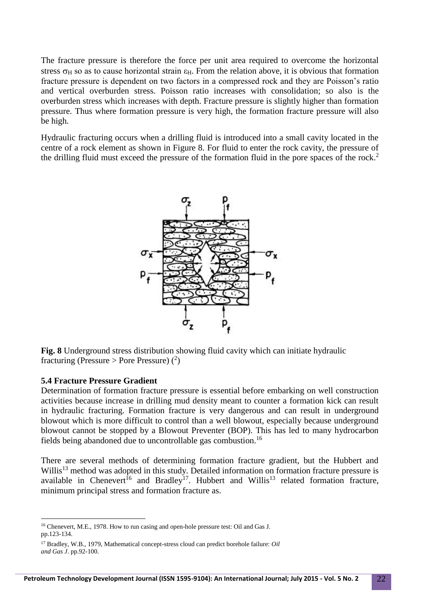The fracture pressure is therefore the force per unit area required to overcome the horizontal stress  $\sigma_H$  so as to cause horizontal strain  $\varepsilon_H$ . From the relation above, it is obvious that formation fracture pressure is dependent on two factors in a compressed rock and they are Poisson's ratio and vertical overburden stress. Poisson ratio increases with consolidation; so also is the overburden stress which increases with depth. Fracture pressure is slightly higher than formation pressure. Thus where formation pressure is very high, the formation fracture pressure will also be high.

Hydraulic fracturing occurs when a drilling fluid is introduced into a small cavity located in the centre of a rock element as shown in Figure 8. For fluid to enter the rock cavity, the pressure of the drilling fluid must exceed the pressure of the formation fluid in the pore spaces of the rock. 2



**Fig. 8** Underground stress distribution showing fluid cavity which can initiate hydraulic fracturing (Pressure > Pore Pressure)  $(2)$ 

#### **5.4 Fracture Pressure Gradient**

1

Determination of formation fracture pressure is essential before embarking on well construction activities because increase in drilling mud density meant to counter a formation kick can result in hydraulic fracturing. Formation fracture is very dangerous and can result in underground blowout which is more difficult to control than a well blowout, especially because underground blowout cannot be stopped by a Blowout Preventer (BOP). This has led to many hydrocarbon fields being abandoned due to uncontrollable gas combustion.<sup>16</sup>

There are several methods of determining formation fracture gradient, but the Hubbert and Willis<sup>13</sup> method was adopted in this study. Detailed information on formation fracture pressure is available in Chenevert<sup>16</sup> and Bradley<sup>17</sup>. Hubbert and Willis<sup>13</sup> related formation fracture, minimum principal stress and formation fracture as.

<sup>16</sup> Chenevert, M.E., 1978. How to run casing and open-hole pressure test: Oil and Gas J. pp.123-134.

<sup>17</sup> Bradley, W.B., 1979, Mathematical concept-stress cloud can predict borehole failure: *Oil and Gas J*. pp.92-100.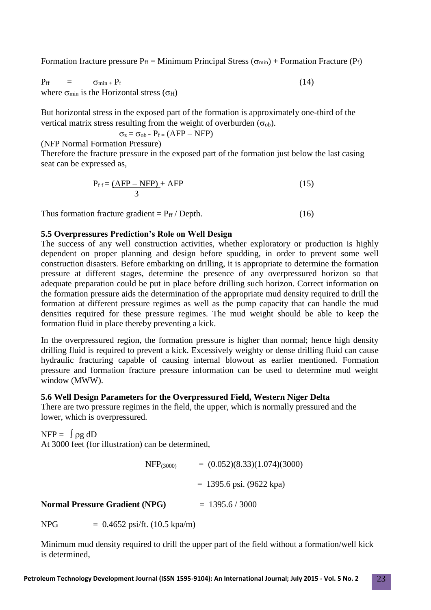Formation fracture pressure  $P_{ff}$  = Minimum Principal Stress ( $\sigma_{min}$ ) + Formation Fracture ( $P_f$ )

 $P_{\text{ff}}$  =  $\sigma_{\text{min}} + P_{\text{f}}$  (14) where  $\sigma_{\min}$  is the Horizontal stress ( $\sigma_H$ )

But horizontal stress in the exposed part of the formation is approximately one-third of the vertical matrix stress resulting from the weight of overburden  $(\sigma_{ob})$ .

$$
\sigma_z = \sigma_{ob} - P_f = (AFP - NFP)
$$

(NFP Normal Formation Pressure)

Therefore the fracture pressure in the exposed part of the formation just below the last casing seat can be expressed as,

$$
P_{ff} = \frac{(AFP - NFP)}{3} + AFP
$$
 (15)

Thus formation fracture gradient =  $P_{ff}$  / Depth. (16)

## **5.5 Overpressures Prediction's Role on Well Design**

The success of any well construction activities, whether exploratory or production is highly dependent on proper planning and design before spudding, in order to prevent some well construction disasters. Before embarking on drilling, it is appropriate to determine the formation pressure at different stages, determine the presence of any overpressured horizon so that adequate preparation could be put in place before drilling such horizon. Correct information on the formation pressure aids the determination of the appropriate mud density required to drill the formation at different pressure regimes as well as the pump capacity that can handle the mud densities required for these pressure regimes. The mud weight should be able to keep the formation fluid in place thereby preventing a kick.

In the overpressured region, the formation pressure is higher than normal; hence high density drilling fluid is required to prevent a kick. Excessively weighty or dense drilling fluid can cause hydraulic fracturing capable of causing internal blowout as earlier mentioned. Formation pressure and formation fracture pressure information can be used to determine mud weight window (MWW).

## **5.6 Well Design Parameters for the Overpressured Field, Western Niger Delta**

There are two pressure regimes in the field, the upper, which is normally pressured and the lower, which is overpressured.

 $NFP = \int \rho g dD$ At 3000 feet (for illustration) can be determined,

 $NFP<sub>(3000)</sub> = (0.052)(8.33)(1.074)(3000)$  $= 1395.6 \text{ psi}$ . (9622 kpa) **Normal Pressure Gradient (NPG)** = 1395.6 / 3000

NPG  $= 0.4652 \text{ psi/ft.} (10.5 \text{ kpa/m})$ 

Minimum mud density required to drill the upper part of the field without a formation/well kick is determined,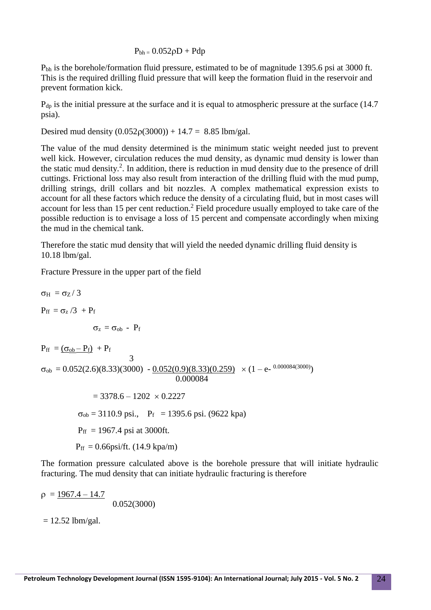$P_{bh} = 0.052\rho D + Pdp$ 

Pbh is the borehole/formation fluid pressure, estimated to be of magnitude 1395.6 psi at 3000 ft. This is the required drilling fluid pressure that will keep the formation fluid in the reservoir and prevent formation kick.

P<sub>dp</sub> is the initial pressure at the surface and it is equal to atmospheric pressure at the surface (14.7) psia).

Desired mud density  $(0.052\rho(3000)) + 14.7 = 8.85$  lbm/gal.

The value of the mud density determined is the minimum static weight needed just to prevent well kick. However, circulation reduces the mud density, as dynamic mud density is lower than the static mud density.<sup>2</sup>. In addition, there is reduction in mud density due to the presence of drill cuttings. Frictional loss may also result from interaction of the drilling fluid with the mud pump, drilling strings, drill collars and bit nozzles. A complex mathematical expression exists to account for all these factors which reduce the density of a circulating fluid, but in most cases will account for less than 15 per cent reduction. <sup>2</sup> Field procedure usually employed to take care of the possible reduction is to envisage a loss of 15 percent and compensate accordingly when mixing the mud in the chemical tank.

Therefore the static mud density that will yield the needed dynamic drilling fluid density is 10.18 lbm/gal.

Fracture Pressure in the upper part of the field

σ<sub>H</sub> = σ<sub>Z</sub>/3  
\n
$$
P_{ff} = σz/3 + P_f
$$
\n
$$
σZ = σob - P_f
$$
\n
$$
P_{ff} = (σob - P_f) + P_f
$$
\n
$$
σob = 0.052(2.6)(8.33)(3000) - 0.052(0.9)(8.33)(0.259) \times (1 - e-0.000084(3000))\n0.000084\n= 3378.6 - 1202 \times 0.2227\nσob = 3110.9 psi., Pf = 1395.6 psi. (9622 kpa)\n
$$
P_{ff} = 1967.4 psi at 3000 ft.
$$
\n
$$
P_{ff} = 0.66psi/ft. (14.9 kpa/m)
$$
$$

The formation pressure calculated above is the borehole pressure that will initiate hydraulic fracturing. The mud density that can initiate hydraulic fracturing is therefore

 $\rho = 1967.4 - 14.7$ 0.052(3000)

 $= 12.52$  lbm/gal.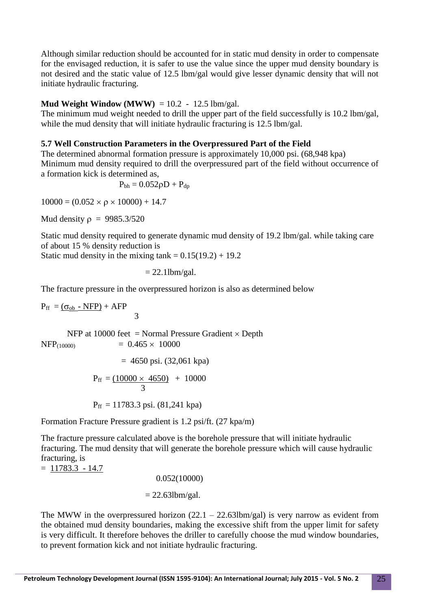Although similar reduction should be accounted for in static mud density in order to compensate for the envisaged reduction, it is safer to use the value since the upper mud density boundary is not desired and the static value of 12.5 lbm/gal would give lesser dynamic density that will not initiate hydraulic fracturing.

## **Mud Weight Window (MWW)**  $= 10.2 - 12.5$  lbm/gal.

The minimum mud weight needed to drill the upper part of the field successfully is 10.2 lbm/gal, while the mud density that will initiate hydraulic fracturing is 12.5 lbm/gal.

# **5.7 Well Construction Parameters in the Overpressured Part of the Field**

The determined abnormal formation pressure is approximately 10,000 psi. (68,948 kpa) Minimum mud density required to drill the overpressured part of the field without occurrence of a formation kick is determined as,

$$
P_{bh}=0.052\rho D+P_{dp}
$$

 $10000 = (0.052 \times \rho \times 10000) + 14.7$ 

Mud density  $\rho = 9985.3/520$ 

Static mud density required to generate dynamic mud density of 19.2 lbm/gal. while taking care of about 15 % density reduction is

Static mud density in the mixing tank  $= 0.15(19.2) + 19.2$ 

 $= 22.1$ lbm/gal.

The fracture pressure in the overpressured horizon is also as determined below

 $P_{ff} = (\sigma_{ob} - NFP) + AFP$ 3

NFP at 10000 feet = Normal Pressure Gradient  $\times$  Depth  $NFP_{(10000)} = 0.465 \times 10000$ 

$$
= 4650 \,\mathrm{psi}. (32,061 \,\mathrm{kpa})
$$

$$
P_{ff} = \frac{(10000 \times 4650)}{3} + 10000
$$

$$
P_{\text{ff}} = 11783.3 \text{ psi.} (81,241 \text{ kpa})
$$

Formation Fracture Pressure gradient is 1.2 psi/ft. (27 kpa/m)

The fracture pressure calculated above is the borehole pressure that will initiate hydraulic fracturing. The mud density that will generate the borehole pressure which will cause hydraulic fracturing, is

 $= 11783.3 - 14.7$ 

0.052(10000)

 $= 22.63$ lbm/gal.

The MWW in the overpressured horizon  $(22.1 - 22.63$ lbm/gal) is very narrow as evident from the obtained mud density boundaries, making the excessive shift from the upper limit for safety is very difficult. It therefore behoves the driller to carefully choose the mud window boundaries, to prevent formation kick and not initiate hydraulic fracturing.